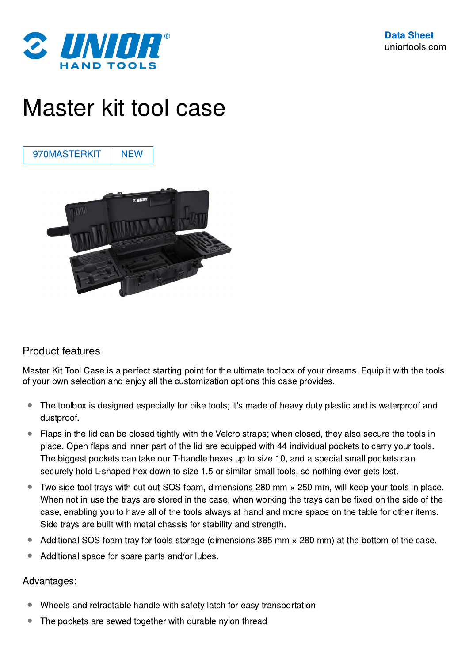

## Master kit tool case

970MASTERKIT | NEW



## Product features

Master Kit Tool Case is a perfect starting point for the ultimate toolbox of your dreams. Equip it with the tools of your own selection and enjoy all the customization options this case provides.

- The toolbox is designed especially for bike tools; it's made of heavy duty plastic and is waterproof and dustproof.  $\bullet$
- Flaps in the lid can be closed tightly with the Velcro straps; when closed, they also secure the tools in place. Open flaps and inner part of the lid are equipped with 44 individual pockets to carry your tools. The biggest pockets can take our T-handle hexes up to size 10, and a special small pockets can securely hold L-shaped hex down to size 1.5 or similar small tools, so nothing ever gets lost. ●
- Two side tool trays with cut out SOS foam, dimensions 280 mm × 250 mm, will keep your tools in place. When not in use the trays are stored in the case, when working the trays can be fixed on the side of the case, enabling you to have all of the tools always at hand and more space on the table for other items. Side trays are built with metal chassis for stability and strength. ●
- Additional SOS foam tray for tools storage (dimensions 385 mm  $\times$  280 mm) at the bottom of the case.
- Additional space for spare parts and/or lubes.

## Advantages:

- Wheels and retractable handle with safety latch for easy transportation
- The pockets are sewed together with durable nylon thread